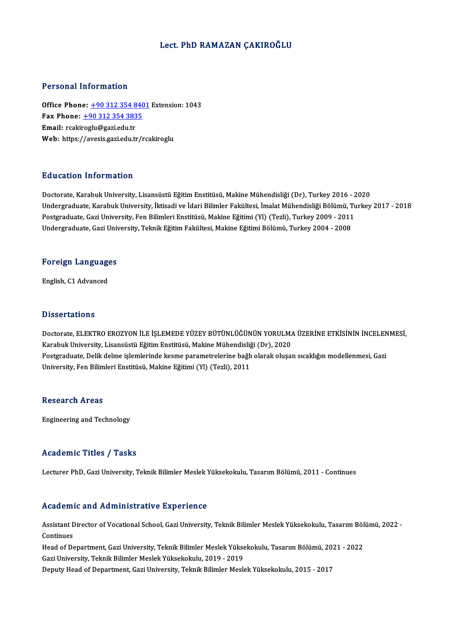### Lect. PhD RAMAZAN ÇAKIROĞLU

#### Personal Information

Personal Information<br>Office Phone: <u>+90 312 354 8401</u> Extension: 1043<br>Eax Phone: 190 312 354 3935 Terestian Information<br>Office Phone: <u>+90 312 354 840</u><br>Fax Phone: <u>+90 312 354 3835</u> Office Phone: <u>+90 312 354 8</u><br>Fax Phone: <u>+90 312 354 383</u><br>Email: rcaki[roglu@gazi.edu.tr](tel:+90 312 354 3835)<br>Web: https://avesis.gazi.edu.tr Fax Phone: <u>+90 312 354 3835</u><br>Email: rcakiroglu@gazi.edu.tr<br>Web: https://avesis.gazi.edu.tr/rcakiroglu

#### Education Information

<mark>Education Information</mark><br>Doctorate, Karabuk University, Lisansüstü Eğitim Enstitüsü, Makine Mühendisliği (Dr), Turkey 2016 - 2020<br>Undergraduate Karabuk University, İktisadi ve İdari Bilimler Felsültesi, İmalet Mühendisliği Da a sasısısı "İntermasion"<br>Doctorate, Karabuk University, Lisansüstü Eğitim Enstitüsü, Makine Mühendisliği (Dr), Turkey 2016 - 2020<br>Dostanaduate, Karabuk University, İktisadi ve İdari Bilimler Fakültesi, İmalat Mühendisli Doctorate, Karabuk University, Lisansüstü Eğitim Enstitüsü, Makine Mühendisliği (Dr), Turkey 2016 - 2<br>Undergraduate, Karabuk University, İktisadi ve İdari Bilimler Fakültesi, İmalat Mühendisliği Bölümü, Tu<br>Postgraduate, Ga Undergraduate, Karabuk University, İktisadi ve İdari Bilimler Fakültesi, İmalat Mühendisliği Bölümü, T<br>Postgraduate, Gazi University, Fen Bilimleri Enstitüsü, Makine Eğitimi (Yl) (Tezli), Turkey 2009 - 2011<br>Undergraduate,

# <sub>Undergraduate, Gazi Univ<br>Foreign Languages</sub> F<mark>oreign Languag</mark>e<br>English, C1 Advanced

English, C1 Advanced<br>Dissertations

Dissertations<br>Doctorate, ELEKTRO EROZYON İLE İŞLEMEDE YÜZEY BÜTÜNLÜĞÜNÜN YORULMA ÜZERİNE ETKİSİNİN İNCELENMESİ,<br>Karabuk University, Lisansüstü Eğitim Enstitüsü, Makine Mühandisliği (Dr.), 2020 Basser tatroms<br>Doctorate, ELEKTRO EROZYON İLE İŞLEMEDE YÜZEY BÜTÜNLÜĞÜNÜN YORULMA<br>Karabuk University, Lisansüstü Eğitim Enstitüsü, Makine Mühendisliği (Dr), 2020<br>Postsraduate, Delik delme islemlerinde kesme parametrolerine Doctorate, ELEKTRO EROZYON İLE İŞLEMEDE YÜZEY BÜTÜNLÜĞÜNÜN YORULMA ÜZERİNE ETKİSİNİN İNCELEN<br>Karabuk University, Lisansüstü Eğitim Enstitüsü, Makine Mühendisliği (Dr), 2020<br>Postgraduate, Delik delme işlemlerinde kesme para Karabuk University, Lisansüstü Eğitim Enstitüsü, Makine Mühendisliğ<br>Postgraduate, Delik delme işlemlerinde kesme parametrelerine bağlı<br>University, Fen Bilimleri Enstitüsü, Makine Eğitimi (Yl) (Tezli), 2011 University, Fen Bilimleri Enstitüsü, Makine Eğitimi (Yl) (Tezli), 2011<br>Research Areas

Engineering and Technology

### Academic Titles / Tasks

Lecturer PhD, Gazi University, Teknik Bilimler Meslek Yüksekokulu, Tasarım Bölümü, 2011 - Continues

#### Academic and Administrative Experience

Academic and Administrative Experience<br>Assistant Director of Vocational School, Gazi University, Teknik Bilimler Meslek Yüksekokulu, Tasarım Bölümü, 2022 -<br>Centinues Assistant D<br>Assistant D<br>Head of De Assistant Director of Vocational School, Gazi University, Teknik Bilimler Meslek Yüksekokulu, Tasarım Böl<br>Continues<br>Head of Department, Gazi University, Teknik Bilimler Meslek Yüksekokulu, Tasarım Bölümü, 2021 - 2022<br>Cari

Continues<br>Head of Department, Gazi University, Teknik Bilimler Meslek Yüksekokulu, Tasarım Bölümü, 2021 - 2022<br>Gazi University, Teknik Bilimler Meslek Yüksekokulu, 2019 - 2019

Deputy Head of Department, Gazi University, Teknik Bilimler Meslek Yüksekokulu, 2015 - 2017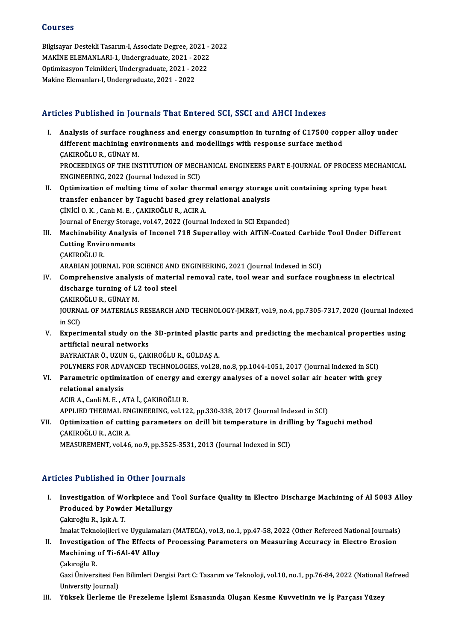#### Courses

Courses<br>Bilgisayar Destekli Tasarım-I, Associate Degree, 2021 - 2022<br>MAKİNE ELEMANLARL 1 Undergraduate 2021, 2022 SSATSSS<br>Bilgisayar Destekli Tasarım-I, Associate Degree, 2021 - 2022<br>MAKİNE ELEMANLARI-1, Undergraduate, 2021 - 2022<br>Ontimiresyon Telmikleri, Undergraduate, 2021 - 2022 Bilgisayar Destekli Tasarım-I, Associate Degree, 2021 -<br>MAKİNE ELEMANLARI-1, Undergraduate, 2021 - 2022<br>Optimizasyon Teknikleri, Undergraduate, 2021 - 2022<br>Makine Elemanları I. Undergraduate, 2021 - 2022 MAKİNE ELEMANLARI-1, Undergraduate, 2021 - 2022<br>Optimizasyon Teknikleri, Undergraduate, 2021 - 2022<br>Makine Elemanları-I, Undergraduate, 2021 - 2022

## Articles Published in Journals That Entered SCI, SSCI and AHCI Indexes

- rticles Published in Journals That Entered SCI, SSCI and AHCI Indexes<br>I. Analysis of surface roughness and energy consumption in turning of C17500 copper alloy under<br>different mechining environments and medellings with res different machining environments and energy consumption in turning of C17500 copy<br>different machining environments and modellings with response surface method different machining environments and modellings with response surface method CAKIROĞLUR., GÜNAY M. different machining environments and modellings with response surface method<br>ÇAKIROĞLU R., GÜNAY M.<br>PROCEEDINGS OF THE INSTITUTION OF MECHANICAL ENGINEERS PART E-JOURNAL OF PROCESS MECHANICAL<br>ENCINEEPING 2022 (Journal Indo CAKIROĞLU R., GÜNAY M.<br>PROCEEDINGS OF THE INSTITUTION OF MECH<br>ENGINEERING, 2022 (Journal Indexed in SCI)<br>Ontimination of molting time of solar the PROCEEDINGS OF THE INSTITUTION OF MECHANICAL ENGINEERS PART E-JOURNAL OF PROCESS MECHAI<br>ENGINEERING, 2022 (Journal Indexed in SCI)<br>II. Optimization of melting time of solar thermal energy storage unit containing spring typ
- ENGINEERING, 2022 (Journal Indexed in SCI)<br>Optimization of melting time of solar thermal energy storage<br>transfer enhancer by Taguchi based grey relational analysis<br>Cinici Q K, Canh M E, CAKIRQČI U R, ACIR A Optimization of melting time of solar therm<br>transfer enhancer by Taguchi based grey<br>CiNiCi O.K., Canlı M.E., CAKIROĞLUR., ACIR A. transfer enhancer by Taguchi based grey relational analysis<br>ÇİNİCİ O. K. , Canlı M. E. , ÇAKIROĞLU R., ACIR A.<br>Journal of Energy Storage, vol.47, 2022 (Journal Indexed in SCI Expanded)<br>Mashinability Analysis of Insenal 718 CiNiCi O. K. , Canlı M. E. , ÇAKIROĞLU R., ACIR A.<br>Journal of Energy Storage, vol.47, 2022 (Journal Indexed in SCI Expanded)<br>III. Machinability Analysis of Inconel 718 Superalloy with AlTiN-Coated Carbide Tool Under Di
- **Journal of Energy Storag<br>Machinability Analysis<br>Cutting Environments<br>CAKIBOČLILB** Machinability<br>Cutting Envir<br>ÇAKIROĞLU R.<br>ARARIAN IQUR Cutting Environments<br>ÇAKIROĞLU R.<br>ARABIAN JOURNAL FOR SCIENCE AND ENGINEERING, 2021 (Journal Indexed in SCI)<br>Comprehensive analysis of material removal rate, tool wear and surface ro
- CAKIROĞLU R.<br>ARABIAN JOURNAL FOR SCIENCE AND ENGINEERING, 2021 (Journal Indexed in SCI)<br>IV. Comprehensive analysis of material removal rate, tool wear and surface roughness in electrical<br>discharge turning of L2 tool steel ARABIAN JOURNAL FOR SCIENCE AND<br>Comprehensive analysis of materi<br>discharge turning of L2 tool steel<br>CAKIBOČLU B\_CÜNAY M ÇAKIROĞLUR.,GÜNAYM. discharge turning of L2 tool steel<br>ÇAKIROĞLU R., GÜNAY M.<br>JOURNAL OF MATERIALS RESEARCH AND TECHNOLOGY-JMR&T, vol.9, no.4, pp.7305-7317, 2020 (Journal Indexed<br>in SCD CAKIRO<br>JOURNA<br>in SCI)<br>Evnori JOURNAL OF MATERIALS RESEARCH AND TECHNOLOGY-JMR&T, vol.9, no.4, pp.7305-7317, 2020 (Journal Indexe<br>in SCI)<br>V. Experimental study on the 3D-printed plastic parts and predicting the mechanical properties using<br>ortificial po
- in SCI)<br>Experimental study on the<br>artificial neural networks<br>BAVRAKTAR Ö, UZUN C, CAK artificial neural networks<br>BAYRAKTAR Ö., UZUN G., ÇAKIROĞLU R., GÜLDAŞ A. artificial neural networks<br>BAYRAKTAR Ö., UZUN G., ÇAKIROĞLU R., GÜLDAŞ A.<br>POLYMERS FOR ADVANCED TECHNOLOGIES, vol.28, no.8, pp.1044-1051, 2017 (Journal Indexed in SCI)<br>Porometris entimization of anergy and evengy enelyses

BAYRAKTAR Ö., UZUN G., ÇAKIROĞLU R., GÜLDAŞ A.<br>POLYMERS FOR ADVANCED TECHNOLOGIES, vol.28, no.8, pp.1044-1051, 2017 (Journal Indexed in SCI)<br>VI. Parametric optimization of energy and exergy analyses of a novel solar air he POLYMERS FOR ADV.<br>Parametric optimiz<br>relational analysis VI. Parametric optimization of energy and exergy analyses of a novel solar air heater with grey relational analysis<br>relational analysis<br>ACIR A., Canli M. E. , ATA İ., ÇAKIROĞLU R.

relational analysis<br>ACIR A., Canli M. E. , ATA İ., ÇAKIROĞLU R.<br>APPLIED THERMAL ENGINEERING, vol.122, pp.330-338, 2017 (Journal Indexed in SCI)<br>Ontimiration of sutting parameters on drill bit temperature in drilling by Teg

VII. Optimization of cutting parameters on drill bit temperature in drilling by Taguchi method CAKIROĞLU R., ACIR A. APPLIED THERMAL EN<br>Optimization of cutti<br>ÇAKIROĞLUR., ACIR A.<br>MEASUPEMENT vol 46

MEASUREMENT, vol.46, no.9, pp.3525-3531, 2013 (Journal Indexed in SCI)

### Articles Published in Other Journals

I. Investigation of Workpiece and Tool Surface Quality in Electro Discharge Machining of Al 5083 Alloy<br>I. Investigation of Workpiece and Tool Surface Quality in Electro Discharge Machining of Al 5083 Alloy Investigation of Workpiece and T<br>Produced by Powder Metallurgy Produced by Powder Metallurgy<br>Çakıroğlu R., Işık A. T. Produced by Powder Metallurgy<br>Çakıroğlu R., Işık A. T.<br>İmalat Teknolojileri ve Uygulamaları (MATECA), vol.3, no.1, pp.47-58, 2022 (Other Refereed National Journals)<br>Investigation of The Effects of Processing Peremeters on

Cakıroğlu R., Işık A. T.<br>Imalat Teknolojileri ve Uygulamaları (MATECA), vol.3, no.1, pp.47-58, 2022 (Other Refereed National Journals)<br>II. Investigation of The Effects of Processing Parameters on Measuring Accuracy in Elec İmalat Teknolojileri ve Uygulamal<br>Investigation of The Effects o<br>Machining of Ti-6Al-4V Alloy<br>Celureğlu P II. Investigation of The Effects of Processing Parameters on Measuring Accuracy in Electro Erosion<br>Machining of Ti-6Al-4V Alloy<br>Cakıroğlu R.

Gazi Üniversitesi Fen Bilimleri Dergisi Part C: Tasarım ve Teknoloji, vol.10, no.1, pp.76-84, 2022 (National Refreed University Journal)

III. Yüksek İlerleme ile Frezeleme İşlemi Esnasında Oluşan Kesme Kuvvetinin ve İş Parçası Yüzey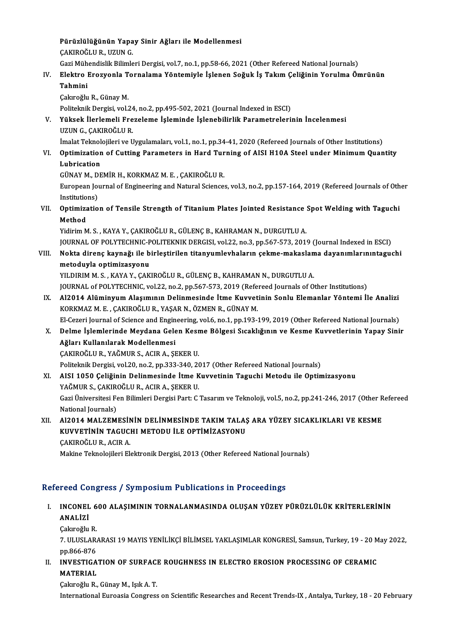Pürüzlülüğünün Yapay Sinir Ağları ile Modellenmesi<br>SAKIROĞULP, HZIM C Pürüzlülüğünün Yapa<br>ÇAKIROĞLU R., UZUN G.<br>Çeri Mühandialil: Bilimle Pürüzlülüğünün Yapay Sinir Ağları ile Modellenmesi<br>ÇAKIROĞLU R., UZUN G.<br>Gazi Mühendislik Bilimleri Dergisi, vol.7, no.1, pp.58-66, 2021 (Other Refereed National Journals)<br>Flaktro Enewyanla Tornalama Vöntemiyle İslanan Sež

# ÇAKIROĞLU R., UZUN G.<br>IV. Elektro Erozyonla Tornalama Yöntemiyle İşlenen Soğuk İş Takım Çeliğinin Yorulma Ömrünün<br>Tehmini Gazi Müh<br><mark>Elektro</mark> I<br>Tahmini<br>Gakroğlu El<mark>ektro Erozyonla T</mark><br>Tahmini<br>Çakıroğlu R., Günay M.<br>Politalmik Dergisi vel

Tahmini<br>Çakıroğlu R., Günay M.<br>Politeknik Dergisi, vol.24, no.2, pp.495-502, 2021 (Journal Indexed in ESCI)<br>Vüksek İlerlemeli Eregeleme İsleminde İslanebilirlik Peremetreleri

Çakıroğlu R., Günay M.<br>Politeknik Dergisi, vol.24, no.2, pp.495-502, 2021 (Journal Indexed in ESCI)<br>V. Yüksek İlerlemeli Frezeleme İşleminde İşlenebilirlik Parametrelerinin İncelenmesi<br>UZUN G., CAKIROĞLU R. Politeknik Dergisi, vol.24<br>Yüksek İlerlemeli Fre<br>UZUN G., ÇAKIROĞLU R.<br>İmalat Talmalajileri ve I Yüksek İlerlemeli Frezeleme İşleminde İşlenebilirlik Parametrelerinin İncelenmesi<br>UZUN G., ÇAKIROĞLU R.<br>İmalat Teknolojileri ve Uygulamaları, vol.1, no.1, pp.34-41, 2020 (Refereed Journals of Other Institutions)<br>Ontimirati

# UZUN G., ÇAKIROĞLU R.<br>İmalat Teknolojileri ve Uygulamaları, vol.1, no.1, pp.34-41, 2020 (Refereed Journals of Other Institutions)<br>VI. Optimization of Cutting Parameters in Hard Turning of AISI H10A Steel under Minimum İmalat Teknol<br>Optimization<br>Lubrication<br>CÜNAV M. DE Optimization of Cutting Parameters in Hard Tur<br>Lubrication<br>GÜNAY M., DEMİR H., KORKMAZ M. E. , ÇAKIROĞLU R.<br>European Journal of Engineering and Netural Sciences

Lubrication<br>GÜNAY M., DEMİR H., KORKMAZ M. E. , ÇAKIROĞLU R.<br>European Journal of Engineering and Natural Sciences, vol.3, no.2, pp.157-164, 2019 (Refereed Journals of Other GÜNAY M., D<br>European Jou<br>Institutions)<br>Ontimizatio European Journal of Engineering and Natural Sciences, vol.3, no.2, pp.157-164, 2019 (Refereed Journals of Oth<br>Institutions)<br>VII. Optimization of Tensile Strength of Titanium Plates Jointed Resistance Spot Welding with Tagu

Institutio<br>Optimiza<br>Method<br><sup>Vidinim M</sup> Optimization of Tensile Strength of Titanium Plates Jointed Resistance<br>Method<br>Yidirim M. S. , KAYA Y., ÇAKIROĞLU R., GÜLENÇ B., KAHRAMAN N., DURGUTLU A.<br>JOUPNAL OF POLYTECHNIC POLITEKNIK DEPCISL val 32 no 3 np 567 573 2011

Method<br>Yidirim M. S. , KAYA Y., ÇAKIROĞLU R., GÜLENÇ B., KAHRAMAN N., DURGUTLU A.<br>JOURNAL OF POLYTECHNIC-POLITEKNIK DERGISI, vol.22, no.3, pp.567-573, 2019 (Journal Indexed in ESCI)

- Vidirim M. S. , KAYA Y., ÇAKIROĞLU R., GÜLENÇ B., KAHRAMAN N., DURGUTLU A.<br>JOURNAL OF POLYTECHNIC-POLITEKNIK DERGISI, vol.22, no.3, pp.567-573, 2019 (Journal Indexed in ESCI)<br>VIII. Nokta direnç kaynağı ile birleştirilen ti **JOURNAL OF POLYTECHNIC-P<br>Nokta direnç kaynağı ile b<br>metoduyla optimizasyonu**<br>VILDIPIM M S - KAYA V *CAK* Nokta direnç kaynağı ile birleştirilen titanyumlevhaların çekme-makaslan<br>metoduyla optimizasyonu<br>YILDIRIM M. S., KAYA Y., ÇAKIROĞLU R., GÜLENÇ B., KAHRAMAN N., DURGUTLU A.<br>JOUPNAL ef POLYTECHNIC vol 22, no.2, np 567,572,20
	-

metoduyla optimizasyonu<br>YILDIRIM M. S. , KAYA Y., ÇAKIROĞLU R., GÜLENÇ B., KAHRAMAN N., DURGUTLU A.<br>JOURNAL of POLYTECHNIC, vol.22, no.2, pp.567-573, 2019 (Refereed Journals of Other Institutions)<br>Al2014 Alüminyum Alasımın

YILDIRIM M. S., KAYA Y., ÇAKIROĞLU R., GÜLENÇ B., KAHRAMAN N., DURGUTLU A.<br>JOURNAL of POLYTECHNIC, vol.22, no.2, pp.567-573, 2019 (Refereed Journals of Other Institutions)<br>IX. Al2014 Alüminyum Alaşımının Delinmesinde İtme JOURNAL of POLYTECHNIC, vol.22, no.2, pp.567-573, 2019 (Referentle 110)<br>Al2014 Alüminyum Alaşımının Delinmesinde İtme Kuvvet<br>KORKMAZ M. E. , ÇAKIROĞLU R., YAŞAR N., ÖZMEN R., GÜNAY M.<br>El Cazari Journal of Science and Engin Al2014 Alüminyum Alaşımının Delinmesinde İtme Kuvvetinin Sonlu Elemanlar Yöntemi İle Analizi<br>KORKMAZ M. E. , ÇAKIROĞLU R., YAŞAR N., ÖZMEN R., GÜNAY M.<br>El-Cezeri Journal of Science and Engineering, vol.6, no.1, pp.193-199, KORKMAZ M. E. , ÇAKIROĞLU R., YAŞAR N., ÖZMEN R., GÜNAY M.<br>El-Cezeri Journal of Science and Engineering, vol.6, no.1, pp.193-199, 2019 (Other Refereed National Journals)<br>X. Delme İşlemlerinde Meydana Gelen Kesme Bölges

El-Cezeri Journal of Science and Engin<br>Delme İşlemlerinde Meydana Gele<br>Ağları Kullanılarak Modellenmesi<br>CAKIROĞLU B. YAĞMIR S. ACIR A. SI Delme İşlemlerinde Meydana Gelen Kesr<br>Ağları Kullanılarak Modellenmesi<br>ÇAKIROĞLU R., YAĞMUR S., ACIR A., ŞEKER U.<br>Pelitelmik Dergisi vel 30 no 3 nn 323 340 36 Ağları Kullanılarak Modellenmesi<br>ÇAKIROĞLU R., YAĞMUR S., ACIR A., ŞEKER U.<br>Politeknik Dergisi, vol.20, no.2, pp.333-340, 2017 (Other Refereed National Journals)

XI. AISI 1050 Çeliğinin Delinmesinde İtme Kuvvetinin Taguchi Metodu ile Optimizasyonu Politeknik Dergisi, vol.20, no.2, pp.333-340, 20<br>AISI 1050 Çeliğinin Delinmesinde İtme K<br>YAĞMUR S., ÇAKIROĞLU R., ACIR A., ŞEKER U.<br>Cari Üniversitesi Fen Bilimleri Dergisi Bartı C. YAĞMUR S., ÇAKIR<br>Gazi Üniversitesi Fe<br>National Journals)<br>Al2014 MALZEM

Gazi Üniversitesi Fen Bilimleri Dergisi Part: C Tasarım ve Teknoloji, vol.5, no.2, pp.241-246, 2017 (Other Refereed<br>National Journals) Gazi Üniversitesi Fen Bilimleri Dergisi Part: C Tasarım ve Teknoloji, vol.5, no.2, pp.241-246, 2017 (Other R<br>National Journals)<br>XII. Al2014 MALZEMESİNİN DELİNMESİNDE TAKIM TALAŞ ARA YÜZEY SICAKLIKLARI VE KESME<br>KUVVETİN

National Journals)<br>Al2014 MALZEMESİNİN DELİNMESİNDE TAKIM TALAŞ<br>KUVVETİNİN TAGUCHI METODU İLE OPTİMİZASYONU<br>GAKIROĞLU B. ACIBA Al<mark>2014 MALZEMESİ</mark>N<br>KUVVETİNİN TAGUC!<br>ÇAKIROĞLU R., ACIR A.<br>Makine Taknalajileri Fl. KUVVETİNİN TAGUCHI METODU İLE OPTİMİZASYONU<br>ÇAKIROĞLU R., ACIR A.<br>Makine Teknolojileri Elektronik Dergisi, 2013 (Other Refereed National Journals)

## Refereed Congress / Symposium Publications in Proceedings

efereed Congress / Symposium Publications in Proceedings<br>I. INCONEL 600 ALAŞIMININ TORNALANMASINDA OLUŞAN YÜZEY PÜRÜZLÜLÜK KRİTERLERİNİN<br>ANALİZİ INCONEL<br>ANALİZİ<br>Celtreğlu I<mark>NCONEL 6</mark><br>ANALİZİ<br>Çakıroğlu R.<br>7. III IISLAR.

**ANALİZİ**<br>Çakıroğlu R.<br>7. ULUSLARARASI 19 MAYIS YENİLİKÇİ BİLİMSEL YAKLAŞIMLAR KONGRESİ, Samsun, Turkey, 19 - 20 May 2022,<br>PR 866,876 Cakiroğlu R<mark>.</mark><br>7. ULUSLAR.<br>pp.866-876<br>INVESTICA 7. ULUSLARARASI 19 MAYIS YENİLİKÇİ BİLİMSEL YAKLAŞIMLAR KONGRESİ, Samsun, Turkey, 19 - 20 M<br>pp.866-876<br>II. INVESTIGATION OF SURFACE ROUGHNESS IN ELECTRO EROSION PROCESSING OF CERAMIC<br>MATERIAL

pp.866-876<br>INVESTIGA<br>MATERIAL<br>Celureğlu P INVESTIGATION OF SURFACI<br>MATERIAL<br>Çakıroğlu R., Günay M., Işık A. T.<br>International Eurossia Constass

MATERIAL<br>Çakıroğlu R., Günay M., Işık A. T.<br>International Euroasia Congress on Scientific Researches and Recent Trends-IX , Antalya, Turkey, 18 - 20 February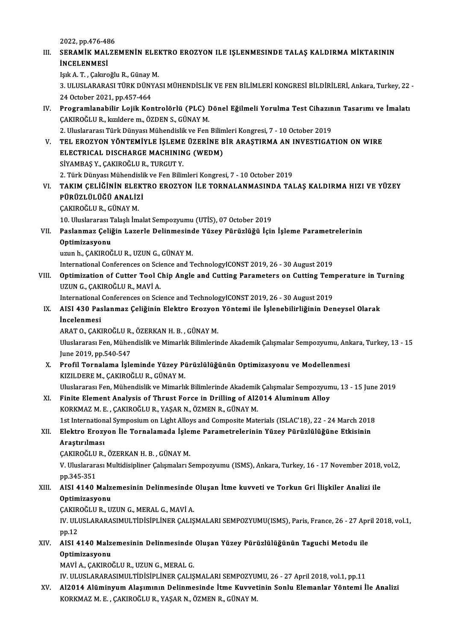2022, pp.476-486<br>2022, pp.476-486<br>sep a wiy MAI 75

## III. SERAMİK MALZEMENİN ELEKTRO EROZYON ILE IŞLENMESINDE TALAŞ KALDIRMA MİKTARININ<br>İNCELENMESI 2022, pp.476-48<br>SERAMİK MAL<br>İNCELENMESİ

IşıkA.T. ,ÇakıroğluR.,GünayM.

İNCELENMESİ<br>Işık A. T. , Çakıroğlu R., Günay M.<br>3. ULUSLARARASI TÜRK DÜNYASI MÜHENDİSLİK VE FEN BİLİMLERİ KONGRESİ BİLDİRİLERİ, Ankara, Turkey, 22 -<br>24 Ostabar 2021, PR 457,464 Işık A. T. , Çakıroğlu R., Günay l<br>3. ULUSLARARASI TÜRK DÜNY<br>24 October 2021, pp.457-464<br>Programlanabilir. Lajik Kor 3. ULUSLARARASI TÜRK DÜNYASI MÜHENDİSLİK VE FEN BİLİMLERİ KONGRESİ BİLDİRİLERİ, Ankara, Turkey, 22<br>24 October 2021, pp.457-464<br>IV. Programlanabilir Lojik Kontrolörlü (PLC) Dönel Eğilmeli Yorulma Test Cihazının Tasarımı

24 October 2021, pp.457-464<br><mark>Programlanabilir Lojik Kontrolörlü (PLC)</mark> I<br>ÇAKIROĞLU R., kızıldere m., ÖZDEN S., GÜNAY M.<br>2. Uluslarares: Türk Dünyası Mühandislik ve Fen Programlanabilir Lojik Kontrolörlü (PLC) Dönel Eğilmeli Yorulma Test Cihazın<br>ÇAKIROĞLU R., kızıldere m., ÖZDEN S., GÜNAY M.<br>2. Uluslararası Türk Dünyası Mühendislik ve Fen Bilimleri Kongresi, 7 - 10 October 2019<br>TEL EROZYO

ÇAKIROĞLU R., kızıldere m., ÖZDEN S., GÜNAY M.<br>2. Uluslararası Türk Dünyası Mühendislik ve Fen Bilimleri Kongresi, 7 - 10 October 2019<br>1. TEL EROZYON YÖNTEMİYLE İŞLEME ÜZERİNE BİR ARAŞTIRMA AN INVESTIGATION ON WIRE<br>1. EL E 2. Uluslararası Türk Dünyası Mühendislik ve Fen Bilimleri Kongresi, 7 - 10 October 2019<br>TEL EROZYON YÖNTEMİYLE İŞLEME ÜZERİNE BİR ARAŞTIRMA AN INVESTIGA'<br>ELECTRICAL DISCHARGE MACHINING (WEDM)<br>SİYAMBAS Y., CAKIROĞLU R., TUR TEL EROZYON YÖNTEMİYLE İŞLEME<br>ELECTRICAL DISCHARGE MACHININ<br>SİYAMBAŞ Y., ÇAKIROĞLU R., TURGUT Y.<br>2. Türk Dünyası Mühandislikya Ean Bilin

2. Türk Dünyası Mühendislik ve Fen Bilimleri Kongresi, 7 - 10 October 2019

SİYAMBAŞ Y., ÇAKIROĞLU R., TURGUT Y.<br>2. Türk Dünyası Mühendislik ve Fen Bilimleri Kongresi, 7 - 10 October 2019<br>VI. – TAKIM ÇELİĞİNİN ELEKTRO EROZYON İLE TORNALANMASINDA TALAŞ KALDIRMA HIZI VE YÜZEY<br>PÜPÜZLÜLÜĞÜ ANALİZI 2. Türk Dünyası Mühendisli<br>TAKIM ÇELİĞİNİN ELEKT<br>PÜRÜZLÜLÜĞÜ ANALİZİ<br>CAKIROĞLU B. CÜNAY M TAKIM ÇELİĞİNİN ELEI<br>PÜRÜZLÜLÜĞÜ ANALİZ<br>ÇAKIROĞLU R., GÜNAY M.<br>10. Uluslararaz Talaslı İm PÜRÜZLÜLÜĞÜ ANALİZİ<br>ÇAKIROĞLU R., GÜNAY M.<br>10. Uluslararası Talaşlı İmalat Sempozyumu (UTİS), 07 October 2019<br>Paslanmaz Coliğin Lararla Dalinmasında Yüzey Bürüzlüğü İsir

ÇAKIROĞLU R., GÜNAY M.<br>10. Uluslararası Talaşlı İmalat Sempozyumu (UTİS), 07 October 2019<br>VII. Paslanmaz Çeliğin Lazerle Delinmesinde Yüzey Pürüzlüğü İçin İşleme Parametrelerinin<br>Optimizasyonu 10. Uluslararası <mark>T</mark><br>Paslanmaz Çeliğ<br>Optimizasyonu<br><sup>umun h</sup> GAKIBOČ Optimizasyonu<br>uzun h., ÇAKIROĞLU R., UZUN G., GÜNAY M.<br>International Conferences on Science and TechnologyICONST 2019, 26 - 30 August 2019<br>Optimization of Cutter Tool Chin Angle and Cutting Perameters on Cutting Tem

uzun h., ÇAKIROĞLU R., UZUN G., GÜNAY M.

VIII. Optimization of Cutter Tool Chip Angle and Cutting Parameters on Cutting Temperature in Turning<br>UZUN G., CAKIROĞLU R., MAVİ A. International Conferences on Science<br>**Optimization of Cutter Tool C**<br>UZUN G., ÇAKIROĞLU R., MAVİ A. Optimization of Cutter Tool Chip Angle and Cutting Parameters on Cutting Tem<br>UZUN G., ÇAKIROĞLU R., MAVİ A.<br>International Conferences on Science and TechnologyICONST 2019, 26 - 30 August 2019<br>AISL 420 Boslanmar Coliğinin E

## UZUN G., ÇAKIROĞLU R., MAVİ A.<br>International Conferences on Science and TechnologyICONST 2019, 26 - 30 August 2019<br>IX. AISI 430 Paslanmaz Çeliğinin Elektro Erozyon Yöntemi ile İşlenebilirliğinin Deneysel Olarak<br>İncelen International<br>AISI 430 Pas<br>Incelenmesi<br>ABATO CAKI AISI 430 Paslanmaz Çeliğinin Elektro Erozyon<br>İncelenmesi<br>ARAT O., ÇAKIROĞLU R., ÖZERKAN H. B. , GÜNAY M.<br>Uluslararası Fan Mühandislik ve Mimarlık Bilimlerin **İncelenmesi**<br>ARAT O., ÇAKIROĞLU R., ÖZERKAN H. B. , GÜNAY M.<br>Uluslararası Fen, Mühendislik ve Mimarlık Bilimlerinde Akademik Çalışmalar Sempozyumu, Ankara, Turkey, 13 - 15

June 2019, pp.540-547 Uluslararası Fen, Mühendislik ve Mimarlık Bilimlerinde Akademik Çalışmalar Sempozyumu, Ank<br>June 2019, pp.540-547<br>X. Profil Tornalama İşleminde Yüzey Pürüzlülüğünün Optimizasyonu ve Modellenmesi<br>KIZU DEREM, GAKIROĞLU R. GÜN

June 2019, pp.540-547<br><mark>Profil Tornalama İşleminde Yüzey Pi</mark><br>KIZILDERE M., ÇAKIROĞLU R., GÜNAY M.<br>Uluslararası Fen Mühandislik ve Mimarlı Profil Tornalama İşleminde Yüzey Pürüzlülüğünün Optimizasyonu ve Modellenmesi<br>KIZILDERE M., ÇAKIROĞLU R., GÜNAY M.<br>Uluslararası Fen, Mühendislik ve Mimarlık Bilimlerinde Akademik Çalışmalar Sempozyumu, 13 - 15 June 2019<br>Fi

KIZILDERE M., ÇAKIROĞLU R., GÜNAY M.<br>Uluslararası Fen, Mühendislik ve Mimarlık Bilimlerinde Akademik Çalışmalar Sempozyun<br>XI. Finite Element Analysis of Thrust Force in Drilling of Al2014 Aluminum Alloy Uluslararası Fen, Mühendislik ve Mimarlık Bilimlerinde Akademik<br>Finite Element Analysis of Thrust Force in Drilling of Al2<br>KORKMAZ M. E. , ÇAKIROĞLU R., YAŞAR N., ÖZMEN R., GÜNAY M.<br>1st International Sumnesium en Lisht All Finite Element Analysis of Thrust Force in Drilling of Al2014 Aluminum Alloy<br>KORKMAZ M. E. , ÇAKIROĞLU R., YAŞAR N., ÖZMEN R., GÜNAY M.<br>1st International Symposium on Light Alloys and Composite Materials (ISLAC'18), 22 - 2 KORKMAZ M. E. , ÇAKIROĞLU R., YAŞAR N., ÖZMEN R., GÜNAY M.<br>1st International Symposium on Light Alloys and Composite Materials (ISLAC'18), 22 - 24 March 2018<br>XII. Elektro Erozyon İle Tornalamada İşleme Parametrelerinin

# 1st Internation<br><mark>Elektro Erozy</mark><br>Araştırılması<br>CAKIPOČLU P Elektro Erozyon İle Tornalamada İşle:<br>Araştırılması<br>ÇAKIROĞLU R., ÖZERKAN H. B. , GÜNAY M.<br>V. Uluslararası Multidisinliner Calemaları S

Araştırılması<br>ÇAKIROĞLU R., ÖZERKAN H. B. , GÜNAY M.<br>V. Uluslararası Multidisipliner Çalışmaları Sempozyumu (ISMS), Ankara, Turkey, 16 - 17 November 2018, vol.2,<br>pp.345-351 CAKIROĞLU<br>V. Uluslarara<br>pp.345-351<br>AISL 4140 1 V. Uluslararası Multidisipliner Çalışmaları Sempozyumu (ISMS), Ankara, Turkey, 16 - 17 November 2018,<br>pp.345-351<br>XIII. AISI 4140 Malzemesinin Delinmesinde Oluşan İtme kuvveti ve Torkun Gri İlişkiler Analizi ile<br>Ontimizasyo

# pp.345-351<br>AISI 4140 Malz<br>Optimizasyonu<br>CAKIROČLU R. U' AISI 4140 Malzemesinin Delinmesinde<br>Optimizasyonu<br>ÇAKIROĞLU R., UZUN G., MERAL G., MAVİ A.<br>IV. III USI ARARASIMII TİDİSİRI İNER CALIS

ÇAKIROĞLU R., UZUN G., MERAL G., MAVİ A.

Optimizasyonu<br>ÇAKIROĞLU R., UZUN G., MERAL G., MAVİ A.<br>IV. ULUSLARARASIMULTİDİSİPLİNER ÇALIŞMALARI SEMPOZYUMU(ISMS), Paris, France, 26 - 27 April 2018, vol.1,<br>pp.12 IV. ULUSLARARASIMULTİDİSİPLİNER ÇALIŞMALARI SEMPOZYUMU(ISMS), Paris, France, 26 - 27 Apr<br>pp.12<br>XIV. AISI 4140 Malzemesinin Delinmesinde Oluşan Yüzey Pürüzlülüğünün Taguchi Metodu ile<br>Ortimizeyeny

# pp.12<br>AISI 4140 Malz<br>Optimizasyonu<br>MAV<sup>I</sup> A GAKIRO AISI 4140 Malzemesinin Delinmesinde<br>Optimizasyonu<br>MAVİ A., ÇAKIROĞLU R., UZUN G., MERAL G.<br>IV. III USI ARARASIMII TİDİSİDI İNER CALIS Optimizasyonu<br>MAVİ A., ÇAKIROĞLU R., UZUN G., MERAL G.<br>IV. ULUSLARARASIMULTİDİSİPLİNER ÇALIŞMALARI SEMPOZYUMU, 26 - 27 April 2018, vol.1, pp.11<br>Al2014 Alüminyum Alesumunu Dolinmesinde İtme Kuyyetinin Sanlu Elemenler Vöntem

MAVİ A., ÇAKIROĞLU R., UZUN G., MERAL G.<br>IV. ULUSLARARASIMULTİDİSİPLİNER ÇALIŞMALARI SEMPOZYUMU, 26 - 27 April 2018, vol.1, pp.11<br>XV. Al2014 Alüminyum Alaşımının Delinmesinde İtme Kuvvetinin Sonlu Elemanlar Yöntemi İle IV. ULUSLARARASIMULTİDİSİPLİNER ÇALIŞMALARI SEMPOZYU.<br>Al2014 Alüminyum Alaşımının Delinmesinde İtme Kuvvet<br>KORKMAZ M. E. , ÇAKIROĞLU R., YAŞAR N., ÖZMEN R., GÜNAY M.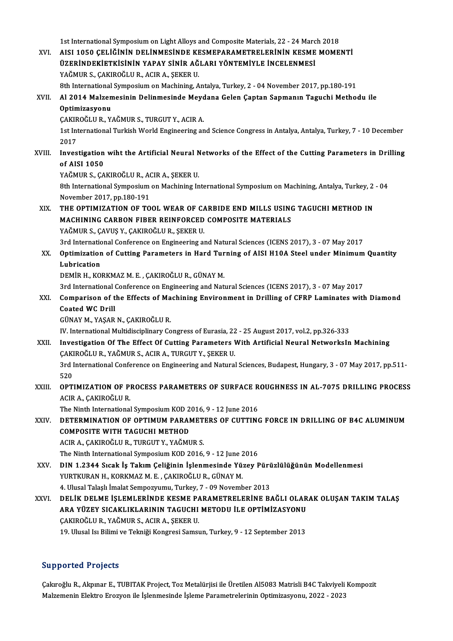1st International Symposium on Light Alloys and Composite Materials, 22 - 24 March 2018

1st International Symposium on Light Alloys and Composite Materials, 22 - 24 March 2018<br>XVI. AISI 1050 ÇELİĞİNİN DELİNMESİNDE KESMEPARAMETRELERİNİN KESME MOMENTİ<br>ÜZERİNDEKİETKİSİNİN YARAY SİNİR AĞI ARI YÖNTEMİYI E İNCELENM 1st International Symposium on Light Alloys and Composite Materials, 22 - 24 Marc<br>AISI 1050 ÇELİĞİNİN DELİNMESİNDE KESMEPARAMETRELERİNİN KESME<br>ÜZERİNDEKİETKİSİNİN YAPAY SİNİR AĞLARI YÖNTEMİYLE İNCELENMESİ<br>YAĞMUR S. CAKIROĞ AISI 1050 ÇELİĞİNİN DELİNMESİNDE KE<br>ÜZERİNDEKİETKİSİNİN YAPAY SİNİR AĞ<br>YAĞMUR S., ÇAKIROĞLU R., ACIR A., ŞEKER U.<br><sup>9th Intornational Sumnasium on Machining, A</sup> ÜZERİNDEKİETKİSİNİN YAPAY SİNİR AĞLARI YÖNTEMİYLE İNCELENMESİ<br>YAĞMUR S., ÇAKIROĞLU R., ACIR A., ŞEKER U.<br>8th International Symposium on Machining, Antalya, Turkey, 2 - 04 November 2017, pp.180-191<br>Al 2014 Malzemesinin Doli YAĞMUR S., ÇAKIROĞLU R., ACIR A., ŞEKER U.<br>8th International Symposium on Machining, Antalya, Turkey, 2 - 04 November 2017, pp.180-191<br>XVII. Al 2014 Malzemesinin Delinmesinde Meydana Gelen Çaptan Sapmanın Taguchi Metho **8th International<br>Al 2014 Malzen<br>Optimizasyonu**<br>CAKIPOČLILP V Al 2014 Malzemesinin Delinmesinde Meyd<br>Optimizasyonu<br>ÇAKIROĞLU R., YAĞMUR S., TURGUT Y., ACIR A.<br>1st International Turkish World Engineering en 1st International Turkish World Engineering and Science Congress in Antalya, Antalya, Turkey, 7 - 10 December<br>2017 CAKIR<br>1st Int<br>2017<br>Inues 1st International Turkish World Engineering and Science Congress in Antalya, Antalya, Turkey, 7 - 10 December<br>2017<br>XVIII. Investigation wiht the Artificial Neural Networks of the Effect of the Cutting Parameters in Drillin 2017<br>Investigation<br>of AISI 1050<br>vačMUPS CA Investigation wiht the Artificial Neural N<br>of AISI 1050<br>YAĞMUR S., ÇAKIROĞLU R., ACIR A., ŞEKER U.<br><sup>9th International Sumposium on Machining In</sup> of AISI 1050<br>YAĞMUR S., ÇAKIROĞLU R., ACIR A., ŞEKER U.<br>8th International Symposium on Machining International Symposium on Machining, Antalya, Turkey, 2 - 04<br>Navember 2017, np.180,191 YAĞMUR S., ÇAKIROĞLU R., AO<br>8th International Symposium<br>November 2017, pp.180-191<br>THE OPTIMIZATION OF TO 8th International Symposium on Machining International Symposium on Machining, Antalya, Turkey, 2<br>November 2017, pp.180-191<br>XIX. THE OPTIMIZATION OF TOOL WEAR OF CARBIDE END MILLS USING TAGUCHI METHOD IN November 2017, pp.180-191<br>THE OPTIMIZATION OF TOOL WEAR OF CARBIDE END MILLS USING<br>MACHINING CARBON FIBER REINFORCED COMPOSITE MATERIALS<br>VAČMUR S. CAVIS V. CAKIROČLILR, SEKER U THE OPTIMIZATION OF TOOL WEAR OF CA<br>MACHINING CARBON FIBER REINFORCED<br>YAĞMUR S., ÇAVUŞ Y., ÇAKIROĞLU R., ŞEKER U.<br><sup>2</sup>rd International Conference on Engineering el MACHINING CARBON FIBER REINFORCED COMPOSITE MATERIALS<br>YAĞMUR S., ÇAVUŞ Y., ÇAKIROĞLU R., ŞEKER U.<br>3rd International Conference on Engineering and Natural Sciences (ICENS 2017), 3 - 07 May 2017<br>Ontimination of Cutting Borom YAĞMUR S., ÇAVUŞ Y., ÇAKIROĞLU R., ŞEKER U.<br>3rd International Conference on Engineering and Natural Sciences (ICENS 2017), 3 - 07 May 2017<br>XX. Optimization of Cutting Parameters in Hard Turning of AISI H10A Steel under 3rd Internation<br>Optimization<br>Lubrication<br>DEMIP H KO Optimization of Cutting Parameters in Hard Tur<br>Lubrication<br>DEMİR H., KORKMAZ M. E. , ÇAKIROĞLU R., GÜNAY M.<br><sup>2rd International Conference on Engineering and Nati</sup> Lubrication<br>DEMİR H., KORKMAZ M. E. , ÇAKIROĞLU R., GÜNAY M.<br>3rd International Conference on Engineering and Natural Sciences (ICENS 2017), 3 - 07 May 2017<br>Comparison of the Effects of Machining Environment in Drilling of DEMİR H., KORKMAZ M. E. , ÇAKIROĞLU R., GÜNAY M.<br>3rd International Conference on Engineering and Natural Sciences (ICENS 2017), 3 - 07 May 2017<br>XXI. Comparison of the Effects of Machining Environment in Drilling of CFR 3rd International<br>Comparison of t<br>Coated WC Drill<br>CÜNAV M. VASAR Comparison of the Effects of Ma<br>Coated WC Drill<br>GÜNAY M., YAŞAR N., ÇAKIROĞLU R.<br>W. International Multidisciplinery Co Coated WC Drill<br>GÜNAY M., YAŞAR N., ÇAKIROĞLU R.<br>IV. International Multidisciplinary Congress of Eurasia, 22 - 25 August 2017, vol.2, pp.326-333 GÜNAY M., YAŞAR N., ÇAKIROĞLU R.<br>IV. International Multidisciplinary Congress of Eurasia, 22 - 25 August 2017, vol.2, pp.326-333<br>XXII. Investigation Of The Effect Of Cutting Parameters With Artificial Neural NetworksIn Mac IV. International Multidisciplinary Congress of Eurasia, 22<br>Investigation Of The Effect Of Cutting Parameters 1<br>ÇAKIROĞLU R., YAĞMUR S., ACIR A., TURGUT Y., ŞEKER U.<br>2rd International Conference on Engineering and Natural Investigation Of The Effect Of Cutting Parameters With Artificial Neural NetworksIn Machining<br>ÇAKIROĞLU R., YAĞMUR S., ACIR A., TURGUT Y., ŞEKER U.<br>3rd International Conference on Engineering and Natural Sciences, Budapest ÇAKIROĞLU R., YAĞMUR S., ACIR A., TURGUT Y., ŞEKER U.<br>3rd International Conference on Engineering and Natural Sciences, Budapest, Hungary, 3 - 07 May 2017, pp.511-<br>520 3rd International Conference on Engineering and Natural Sciences, Budapest, Hungary, 3 - 07 May 2017, pp.511-<br>520<br>ACIP A CAKIPOČLU P 520<br>**OPTIMIZATION OF P**I<br>ACIR A., ÇAKIROĞLU R.<br>The Ninth International OPTIMIZATION OF PROCESS PARAMETERS OF SURFACE R<br>ACIR A., ÇAKIROĞLU R.<br>The Ninth International Symposium KOD 2016, 9 - 12 June 2016<br>DETERMINATION OF OPTIMIIN BARAMETERS OF CUTTING ACIR A., ÇAKIROĞLU R.<br>The Ninth International Symposium KOD 2016, 9 - 12 June 2016<br>XXIV. DETERMINATION OF OPTIMUM PARAMETERS OF CUTTING FORCE IN DRILLING OF B4C ALUMINUM<br>COMPOSITE WITH TACIICHI METHOD The Ninth International Symposium KOD 2<br>DETERMINATION OF OPTIMUM PARAN<br>COMPOSITE WITH TAGUCHI METHOD COMPOSITE WITH TAGUCHI METHOD<br>ACIR A., ÇAKIROĞLU R., TURGUT Y., YAĞMUR S. The Ninth International Symposium KOD 2016, 9 - 12 June 2016 ACIR A., ÇAKIROĞLU R., TURGUT Y., YAĞMUR S.<br>The Ninth International Symposium KOD 2016, 9 - 12 June 2016<br>XXV. DIN 1.2344 Sıcak İş Takım Çeliğinin İşlenmesinde Yüzey Pürüzlülüğünün Modellenmesi<br>XIIPTELIRAN H. KORKMAZ M.E., The Ninth International Symposium KOD 2016, 9 - 12 June 2<br>DIN 1.2344 Sıcak İş Takım Çeliğinin İşlenmesinde Yü:<br>YURTKURAN H., KORKMAZ M. E. , ÇAKIROĞLU R., GÜNAY M.<br>4 Hlusel Talaslı İmalat Semnegrayov Turkey 7 - 09 Novemb DIN 1.2344 Sıcak İş Takım Çeliğinin İşlenmesinde Yüzey Pürü<br>YURTKURAN H., KORKMAZ M. E. , ÇAKIROĞLU R., GÜNAY M.<br>4. Ulusal Talaşlı İmalat Sempozyumu, Turkey, 7 - 09 November 2013<br>DELİK DELME İSLEMLERİNDE KESME RARAMETRELER XURTKURAN H., KORKMAZ M. E. , ÇAKIROĞLU R., GÜNAY M.<br>4. Ulusal Talaşlı İmalat Sempozyumu, Turkey, 7 - 09 November 2013<br>7. XXVI. DELİK DELME İŞLEMLERİNDE KESME PARAMETRELERİNE BAĞLI OLARAK OLUŞAN TAKIM TALAŞ 4. Ulusal Talaşlı İmalat Sempozyumu, Turkey, 7 - 09 November 2013<br>DELİK DELME İŞLEMLERİNDE KESME PARAMETRELERİNE BAĞLI OLAR<br>ARA YÜZEY SICAKLIKLARININ TAGUCHI METODU İLE OPTİMİZASYONU<br>CAKIROĞLU B. XAĞMIR S. ACIR A. SEKER U DELİK DELME İŞLEMLERİNDE KESME P*I*<br>ARA YÜZEY SICAKLIKLARININ TAGUCHI<br>ÇAKIROĞLU R., YAĞMUR S., ACIR A., ŞEKER U.<br>19. Ulyasl kı Bilimi ve Talmiği Kongresi Samar ARA YÜZEY SICAKLIKLARININ TAGUCHI METODU İLE OPTİMİZASYONU<br>ÇAKIROĞLU R., YAĞMUR S., ACIR A., ŞEKER U.<br>19. Ulusal Isı Bilimi ve Tekniği Kongresi Samsun, Turkey, 9 - 12 September 2013 19. Ulusal Isı Bilimi ve Tekniği Kongresi Samsun, Turkey, 9 - 12 September 2013<br>Supported Projects

Çakıroğlu R., Akpınar E., TUBITAK Project, Toz Metalürjisi ile Üretilen Al5083 Matrisli B4C Takviyeli Kompozit MalzemeninElektro Erozyonile İşlenmesinde İşlemeParametrelerininOptimizasyonu,2022 -2023